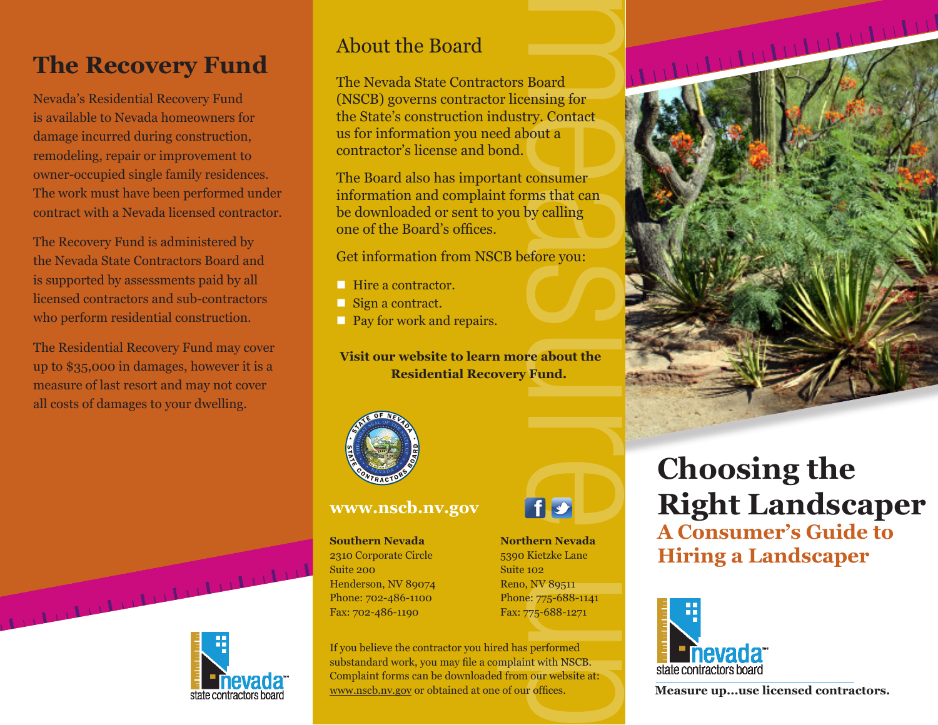## **The Recovery Fund**

Nevada's Residential Recovery Fund is available to Nevada homeowners for damage incurred during construction, remodeling, repair or improvement to owner-occupied single family residences. The work must have been performed under contract with a Nevada licensed contractor.

The Recovery Fund is administered by the Nevada State Contractors Board and is supported by assessments paid by all licensed contractors and sub-contractors who perform residential construction.

The Residential Recovery Fund may cover up to \$35,000 in damages, however it is a measure of last resort and may not cover all costs of damages to your dwelling.



#### About the Board

The Nevada State Contractors Board (NSCB) governs contractor licensing for the State's construction industry. Contact us for information you need about a contractor's license and bond.

The Board also has important consumer information and complaint forms that can be downloaded or sent to you by calling one of the Board's offices.

Get information from NSCB before you:

- **Hire a contractor.**
- Sign a contract.
- **Pay for work and repairs.**

**Visit our website to learn more about the Residential Recovery Fund.**

f s



#### **www.nscb.nv.gov**

**Southern Nevada Northern Nevada** 2310 Corporate Circle 5390 Kietzke Lane Suite 200 Suite 102 Henderson, NV 89074 Reno, NV 89511 Phone: 702-486-1100 Phone: 775-688-1141 Fax: 702-486-1190 Fax: 775-688-1271





## **Choosing the Right Landscaper A Consumer's Guide to Hiring a Landscaper**